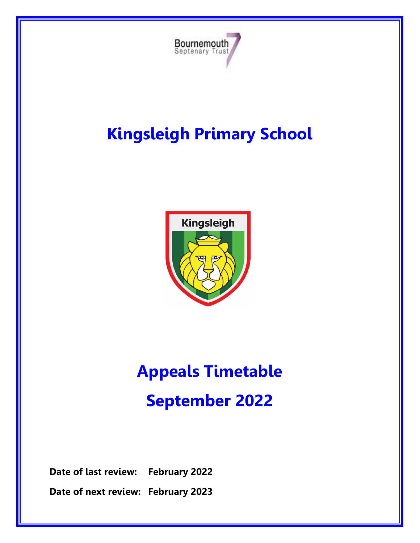

## **Kingsleigh Primary School**



# **Appeals Timetable September 2022**

**Date of last review: February 2022**

**Date of next review: February 2023**